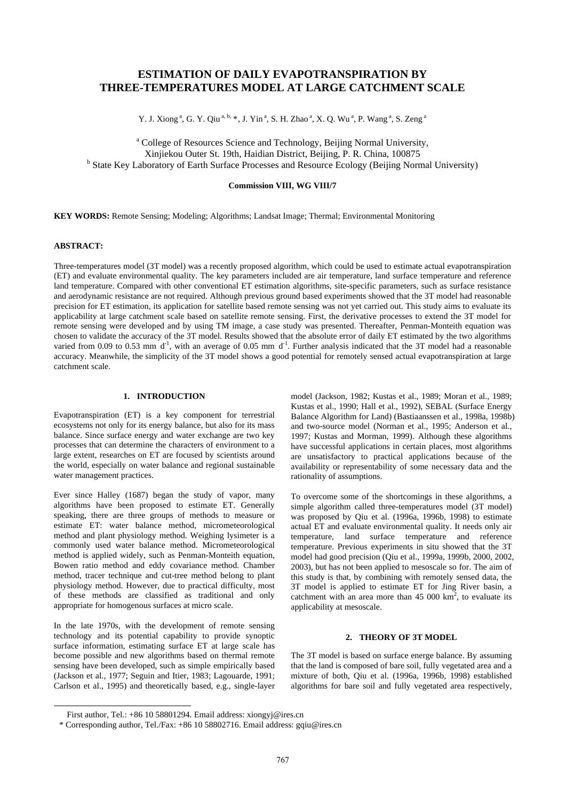# **ESTIMATION OF DAILY EVAPOTRANSPIRATION BY THREE-TEMPERATURES MODEL AT LARGE CATCHMENT SCALE**

Y. J. Xiong<sup>a</sup>, G. Y. Qiu<sup>a, b,</sup> [\\*](#page-0-0), J. Yin<sup>a</sup>, S. H. Zhao<sup>a</sup>, X. Q. Wu<sup>a</sup>, P. Wang<sup>a</sup>, S. Zeng<sup>a</sup>

<sup>a</sup> College of Resources Science and Technology, Beijing Normal University, Xinjiekou Outer St. 19th, Haidian District, Beijing, P. R. China, 100875 b <sup>b</sup> State Key Laboratory of Earth Surface Processes and Resource Ecology (Beijing Normal University)

# **Commission VIII, WG VIII/7**

**KEY WORDS:** Remote Sensing; Modeling; Algorithms; Landsat Image; Thermal; Environmental Monitoring

# **ABSTRACT:**

<span id="page-0-0"></span> $\overline{a}$ 

Three-temperatures model (3T model) was a recently proposed algorithm, which could be used to estimate actual evapotranspiration (ET) and evaluate environmental quality. The key parameters included are air temperature, land surface temperature and reference land temperature. Compared with other conventional ET estimation algorithms, site-specific parameters, such as surface resistance and aerodynamic resistance are not required. Although previous ground based experiments showed that the 3T model had reasonable precision for ET estimation, its application for satellite based remote sensing was not yet carried out. This study aims to evaluate its applicability at large catchment scale based on satellite remote sensing. First, the derivative processes to extend the 3T model for remote sensing were developed and by using TM image, a case study was presented. Thereafter, Penman-Monteith equation was chosen to validate the accuracy of the 3T model. Results showed that the absolute error of daily ET estimated by the two algorithms varied from 0.09 to 0.53 mm  $d^{-1}$ , with an average of 0.05 mm  $d^{-1}$ . Further analysis indicated that the 3T model had a reasonable accuracy. Meanwhile, the simplicity of the 3T model shows a good potential for remotely sensed actual evapotranspiration at large catchment scale.

## **1. INTRODUCTION**

Evapotranspiration (ET) is a key component for terrestrial ecosystems not only for its energy balance, but also for its mass balance. Since surface energy and water exchange are two key processes that can determine the characters of environment to a large extent, researches on ET are focused by scientists around the world, especially on water balance and regional sustainable water management practices.

Ever since Halley (1687) began the study of vapor, many algorithms have been proposed to estimate ET. Generally speaking, there are three groups of methods to measure or estimate ET: water balance method, micrometeorological method and plant physiology method. Weighing lysimeter is a commonly used water balance method. Micrometeorological method is applied widely, such as Penman-Monteith equation, Bowen ratio method and eddy covariance method. Chamber method, tracer technique and cut-tree method belong to plant physiology method. However, due to practical difficulty, most of these methods are classified as traditional and only appropriate for homogenous surfaces at micro scale.

In the late 1970s, with the development of remote sensing technology and its potential capability to provide synoptic surface information, estimating surface ET at large scale has become possible and new algorithms based on thermal remote sensing have been developed, such as simple empirically based (Jackson et al., 1977; Seguin and Itier, 1983; Lagouarde, 1991; Carlson et al., 1995) and theoretically based, e.g., single-layer model (Jackson, 1982; Kustas et al., 1989; Moran et al., 1989; Kustas et al., 1990; Hall et al., 1992), SEBAL (Surface Energy Balance Algorithm for Land) (Bastiaanssen et al., 1998a, 1998b) and two-source model (Norman et al., 1995; Anderson et al., 1997; Kustas and Morman, 1999). Although these algorithms have successful applications in certain places, most algorithms are unsatisfactory to practical applications because of the availability or representability of some necessary data and the rationality of assumptions.

To overcome some of the shortcomings in these algorithms, a simple algorithm called three-temperatures model (3T model) was proposed by Qiu et al. (1996a, 1996b, 1998) to estimate actual ET and evaluate environmental quality. It needs only air temperature, land surface temperature and reference temperature. Previous experiments in situ showed that the 3T model had good precision (Qiu et al., 1999a, 1999b, 2000, 2002, 2003), but has not been applied to mesoscale so for. The aim of this study is that, by combining with remotely sensed data, the 3T model is applied to estimate ET for Jing River basin, a catchment with an area more than  $45\ 000\ km^2$ , to evaluate its applicability at mesoscale.

#### **2. THEORY OF 3T MODEL**

The 3T model is based on surface energe balance. By assuming that the land is composed of bare soil, fully vegetated area and a mixture of both, Qiu et al. (1996a, 1996b, 1998) established algorithms for bare soil and fully vegetated area respectively,

First author, Tel.: +86 10 58801294. Email address: [xiongyj@ires.cn](mailto:xiongyj@ires.cn) 

<sup>\*</sup> Corresponding author, Tel./Fax: +86 10 58802716. Email address: [gqiu@ires.cn](mailto:gqiu@ires.cn)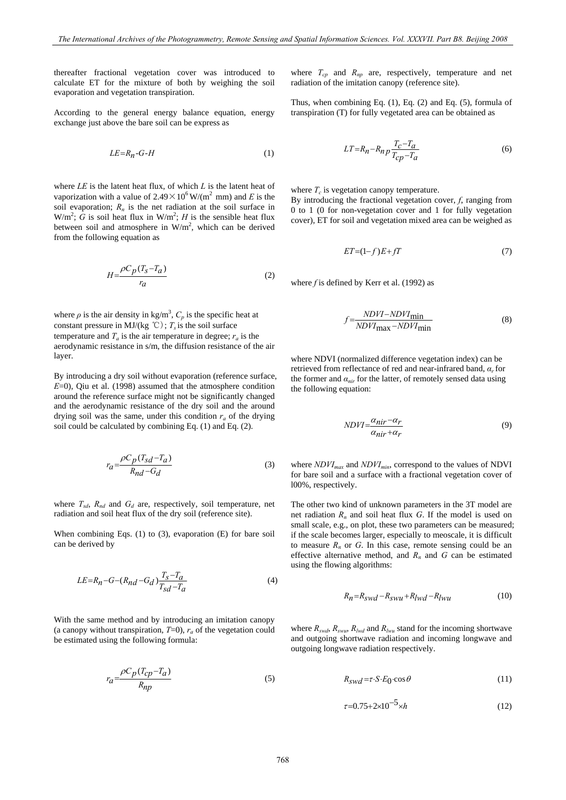thereafter fractional vegetation cover was introduced to calculate ET for the mixture of both by weighing the soil evaporation and vegetation transpiration.

According to the general energy balance equation, energy exchange just above the bare soil can be express as

$$
LE = R_n - G - H \tag{1}
$$

where *LE* is the latent heat flux, of which *L* is the latent heat of vaporization with a value of  $2.49 \times 10^6$  W/(m<sup>2</sup> mm) and *E* is the soil evaporation;  $R_n$  is the net radiation at the soil surface in  $W/m^2$ ;  $\tilde{G}$  is soil heat flux in  $W/m^2$ ; *H* is the sensible heat flux between soil and atmosphere in  $W/m^2$ , which can be derived from the following equation as

$$
H = \frac{\rho C_p (T_S - T_a)}{r_a} \tag{2}
$$

where  $\rho$  is the air density in kg/m<sup>3</sup>,  $C_p$  is the specific heat at constant pressure in MJ/(kg °C);  $T_s$  is the soil surface temperature and  $T_a$  is the air temperature in degree;  $r_a$  is the aerodynamic resistance in s/m, the diffusion resistance of the air layer.

By introducing a dry soil without evaporation (reference surface, *E*=0), Qiu et al. (1998) assumed that the atmosphere condition around the reference surface might not be significantly changed and the aerodynamic resistance of the dry soil and the around drying soil was the same, under this condition  $r_a$  of the drying soil could be calculated by combining Eq. (1) and Eq. (2).

$$
r_a = \frac{\rho C_p (T_{sd} - T_a)}{R_{nd} - G_d} \tag{3}
$$

where  $T_{sd}$ ,  $R_{nd}$  and  $G_d$  are, respectively, soil temperature, net radiation and soil heat flux of the dry soil (reference site).

When combining Eqs. (1) to (3), evaporation (E) for bare soil can be derived by

$$
LE = R_n - G - (R_{nd} - G_d) \frac{T_s - T_a}{T_{sd} - T_a}
$$
 (4)

With the same method and by introducing an imitation canopy (a canopy without transpiration,  $T=0$ ),  $r_a$  of the vegetation could be estimated using the following formula:

$$
r_a = \frac{\rho C_p (T_{cp} - T_a)}{R_{np}}\tag{5}
$$

where  $T_{cp}$  and  $R_{np}$  are, respectively, temperature and net radiation of the imitation canopy (reference site).

Thus, when combining Eq. (1), Eq. (2) and Eq. (5), formula of transpiration (T) for fully vegetated area can be obtained as

$$
LT = R_n - R_n p \frac{T_c - T_a}{T_{cp} - T_a} \tag{6}
$$

where  $T_c$  is vegetation canopy temperature.

By introducing the fractional vegetation cover, *f*, ranging from 0 to 1 (0 for non-vegetation cover and 1 for fully vegetation cover), ET for soil and vegetation mixed area can be weighed as

$$
ET=(1-f)E+fT\tag{7}
$$

where *f* is defined by Kerr et al. (1992) as

$$
f = \frac{NDVI - NDVI_{\text{min}}}{NDVI_{\text{max}} - NDVI_{\text{min}}}
$$
(8)

where NDVI (normalized difference vegetation index) can be retrieved from reflectance of red and near-infrared band, *αr* for the former and  $a_{nir}$  for the latter, of remotely sensed data using the following equation:

$$
NDVI = \frac{\alpha_{nir} - \alpha_r}{\alpha_{nir} + \alpha_r} \tag{9}
$$

where *NDVI<sub>max</sub>* and *NDVI<sub>min</sub>*, correspond to the values of **NDVI** for bare soil and a surface with a fractional vegetation cover of l00%, respectively.

The other two kind of unknown parameters in the 3T model are net radiation  $R_n$  and soil heat flux  $G$ . If the model is used on small scale, e.g., on plot, these two parameters can be measured; if the scale becomes larger, especially to meoscale, it is difficult to measure  $R_n$  or  $G$ . In this case, remote sensing could be an effective alternative method, and  $R_n$  and  $G$  can be estimated using the flowing algorithms:

$$
R_n = R_{swd} - R_{swu} + R_{lwd} - R_{lwu}
$$
\n<sup>(10)</sup>

where  $R_{swd}$ ,  $R_{swu}$ ,  $R_{lwd}$  and  $R_{lwu}$  stand for the incoming shortwave and outgoing shortwave radiation and incoming longwave and outgoing longwave radiation respectively.

$$
R_{swd} = \tau \cdot S \cdot E_0 \cdot \cos \theta \tag{11}
$$

$$
\tau = 0.75 + 2 \times 10^{-5} \times h \tag{12}
$$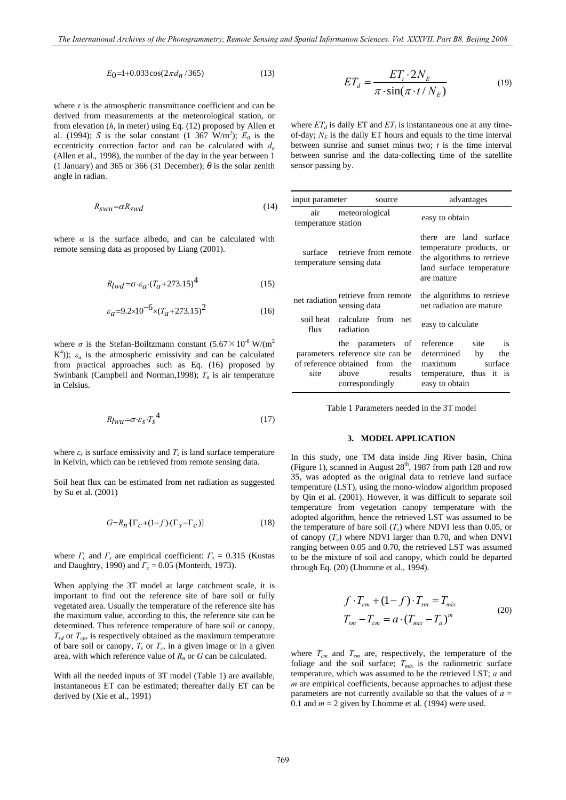$$
E_0 = 1 + 0.033 \cos(2\pi d_n / 365) \tag{13}
$$

where  $\tau$  is the atmospheric transmittance coefficient and can be derived from measurements at the meteorological station, or from elevation (*h*, in meter) using Eq. (12) proposed by Allen et al. (1994); *S* is the solar constant (1 367 W/m<sup>2</sup>);  $E_0$  is the eccentricity correction factor and can be calculated with  $d_n$ (Allen et al., 1998), the number of the day in the year between 1 (1 January) and 365 or 366 (31 December); *θ* is the solar zenith angle in radian.

$$
R_{SWU} = \alpha R_{SWd} \tag{14}
$$

where  $\alpha$  is the surface albedo, and can be calculated with remote sensing data as proposed by Liang (2001).

$$
R_{lwd} = \sigma \cdot \varepsilon_a \cdot (T_a + 273.15)^4 \tag{15}
$$

$$
\varepsilon_a = 9.2 \times 10^{-6} \times (T_a + 273.15)^2 \tag{16}
$$

where  $\sigma$  is the Stefan-Boiltzmann constant  $(5.67 \times 10^{-8} \text{ W/m}^2)$ K<sup>4</sup>));  $\varepsilon_a$  is the atmospheric emissivity and can be calculated from practical approaches such as Eq. (16) proposed by Swinbank (Campbell and Norman,1998); *Ta* is air temperature in Celsius.

$$
R_{lwu} = \sigma \cdot \varepsilon_s \cdot T_s^4 \tag{17}
$$

where  $\varepsilon$ <sub>*s*</sub> is surface emissivity and  $T_s$  is land surface temperature in Kelvin, which can be retrieved from remote sensing data.

Soil heat flux can be estimated from net radiation as suggested by Su et al. (2001)

$$
G = R_n \left[ \Gamma_c + (1 - f) \cdot (\Gamma_s - \Gamma_c) \right] \tag{18}
$$

where  $\Gamma_c$  and  $\Gamma_s$  are empirical coefficient:  $\Gamma_s = 0.315$  (Kustas and Daughtry, 1990) and  $\Gamma_c = 0.05$  (Monteith, 1973).

When applying the 3T model at large catchment scale, it is important to find out the reference site of bare soil or fully vegetated area. Usually the temperature of the reference site has the maximum value, according to this, the reference site can be determined. Thus reference temperature of bare soil or canopy,  $T_{sd}$  or  $T_{cp}$ , is respectively obtained as the maximum temperature of bare soil or canopy,  $T_s$  or  $T_c$ , in a given image or in a given area, with which reference value of  $R_n$  or  $G$  can be calculated.

With all the needed inputs of 3T model (Table 1) are available, instantaneous ET can be estimated; thereafter daily ET can be derived by (Xie et al., 1991)

$$
ET_d = \frac{ET_i \cdot 2N_E}{\pi \cdot \sin(\pi \cdot t / N_E)}
$$
(19)

where  $ET_d$  is daily ET and  $ET_i$  is instantaneous one at any timeof-day;  $N_E$  is the daily ET hours and equals to the time interval between sunrise and sunset minus two; *t* is the time interval between sunrise and the data-collecting time of the satellite sensor passing by.

| input parameter     | source                                                                                                                      | advantages                                                                                                                 |  |  |
|---------------------|-----------------------------------------------------------------------------------------------------------------------------|----------------------------------------------------------------------------------------------------------------------------|--|--|
| temperature station | air meteorological                                                                                                          | easy to obtain                                                                                                             |  |  |
|                     | surface retrieve from remote<br>temperature sensing data                                                                    | there are land surface<br>temperature products, or<br>the algorithms to retrieve<br>land surface temperature<br>are mature |  |  |
|                     | net radiation retrieve from remote<br>sensing data                                                                          | the algorithms to retrieve<br>net radiation are mature                                                                     |  |  |
| flux                | soil heat calculate from net<br>radiation                                                                                   | easy to calculate                                                                                                          |  |  |
| site                | the parameters of<br>parameters reference site can be<br>of reference obtained from the<br>above results<br>correspondingly | reference site<br>is<br>determined<br>by<br>the<br>maximum surface<br>temperature, thus it is<br>easy to obtain            |  |  |

Table 1 Parameters needed in the 3T model

#### **3. MODEL APPLICATION**

In this study, one TM data inside Jing River basin, China (Figure 1), scanned in August  $28<sup>th</sup>$ , 1987 from path 128 and row 35, was adopted as the original data to retrieve land surface temperature (LST), using the mono-window algorithm proposed by Qin et al. (2001). However, it was difficult to separate soil temperature from vegetation canopy temperature with the adopted algorithm, hence the retrieved LST was assumed to be the temperature of bare soil  $(T_s)$  where NDVI less than 0.05, or of canopy  $(T_c)$  where NDVI larger than 0.70, and when DNVI ranging between 0.05 and 0.70, the retrieved LST was assumed to be the mixture of soil and canopy, which could be departed through Eq. (20) (Lhomme et al., 1994).

$$
f \cdot T_{cm} + (1 - f) \cdot T_{sm} = T_{mix}
$$
  
\n
$$
T_{sm} - T_{cm} = a \cdot (T_{mix} - T_a)^m
$$
\n(20)

where  $T_{cm}$  and  $T_{sm}$  are, respectively, the temperature of the foliage and the soil surface;  $T_{mix}$  is the radiometric surface temperature, which was assumed to be the retrieved LST; *a* and *m* are empirical coefficients, because approaches to adjust these parameters are not currently available so that the values of *a* = 0.1 and  $m = 2$  given by Lhomme et al. (1994) were used.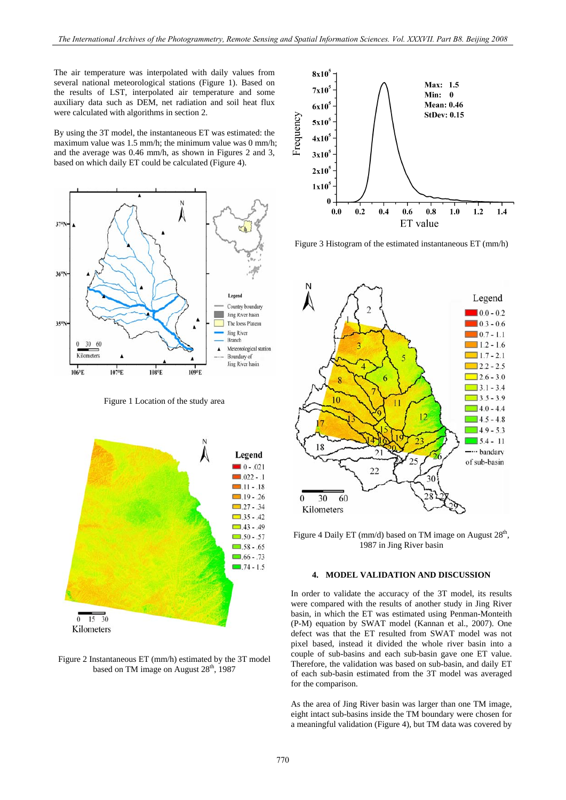The air temperature was interpolated with daily values from several national meteorological stations (Figure 1). Based on the results of LST, interpolated air temperature and some auxiliary data such as DEM, net radiation and soil heat flux were calculated with algorithms in section 2.

By using the 3T model, the instantaneous ET was estimated: the maximum value was 1.5 mm/h; the minimum value was 0 mm/h; and the average was 0.46 mm/h, as shown in Figures 2 and 3, based on which daily ET could be calculated (Figure 4).



Figure 1 Location of the study area



Figure 2 Instantaneous ET (mm/h) estimated by the 3T model based on TM image on August  $28<sup>th</sup>$ , 1987



Figure 3 Histogram of the estimated instantaneous ET (mm/h)



Figure 4 Daily ET (mm/d) based on TM image on August  $28<sup>th</sup>$ , 1987 in Jing River basin

#### **4. MODEL VALIDATION AND DISCUSSION**

In order to validate the accuracy of the 3T model, its results were compared with the results of another study in Jing River basin, in which the ET was estimated using Penman-Monteith (P-M) equation by SWAT model (Kannan et al., 2007). One defect was that the ET resulted from SWAT model was not pixel based, instead it divided the whole river basin into a couple of sub-basins and each sub-basin gave one ET value. Therefore, the validation was based on sub-basin, and daily ET of each sub-basin estimated from the 3T model was averaged for the comparison.

As the area of Jing River basin was larger than one TM image, eight intact sub-basins inside the TM boundary were chosen for a meaningful validation (Figure 4), but TM data was covered by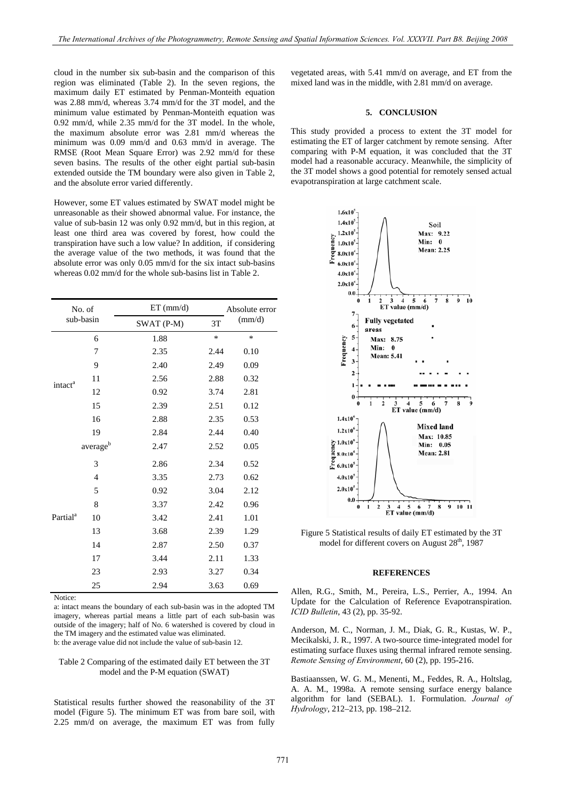cloud in the number six sub-basin and the comparison of this region was eliminated (Table 2). In the seven regions, the maximum daily ET estimated by Penman-Monteith equation was 2.88 mm/d, whereas 3.74 mm/d for the 3T model, and the minimum value estimated by Penman-Monteith equation was 0.92 mm/d, while 2.35 mm/d for the 3T model. In the whole, the maximum absolute error was 2.81 mm/d whereas the minimum was 0.09 mm/d and 0.63 mm/d in average. The RMSE (Root Mean Square Error) was 2.92 mm/d for these seven basins. The results of the other eight partial sub-basin extended outside the TM boundary were also given in Table 2, and the absolute error varied differently.

However, some ET values estimated by SWAT model might be unreasonable as their showed abnormal value. For instance, the value of sub-basin 12 was only 0.92 mm/d, but in this region, at least one third area was covered by forest, how could the transpiration have such a low value? In addition, if considering the average value of the two methods, it was found that the absolute error was only 0.05 mm/d for the six intact sub-basins whereas 0.02 mm/d for the whole sub-basins list in Table 2.

| No. of<br>sub-basin  |                | $ET$ (mm/d) |        | Absolute error  |
|----------------------|----------------|-------------|--------|-----------------|
|                      |                | SWAT (P-M)  | 3T     | $\text{(mm/d)}$ |
|                      | 6              | 1.88        | $\ast$ | *               |
| intact <sup>a</sup>  | 7              | 2.35        | 2.44   | 0.10            |
|                      | 9              | 2.40        | 2.49   | 0.09            |
|                      | 11             | 2.56        | 2.88   | 0.32            |
|                      | 12             | 0.92        | 3.74   | 2.81            |
|                      | 15             | 2.39        | 2.51   | 0.12            |
|                      | 16             | 2.88        | 2.35   | 0.53            |
|                      | 19             | 2.84        | 2.44   | 0.40            |
|                      | averageb       | 2.47        | 2.52   | 0.05            |
| Partial <sup>a</sup> | 3              | 2.86        | 2.34   | 0.52            |
|                      | $\overline{4}$ | 3.35        | 2.73   | 0.62            |
|                      | 5              | 0.92        | 3.04   | 2.12            |
|                      | 8              | 3.37        | 2.42   | 0.96            |
|                      | 10             | 3.42        | 2.41   | 1.01            |
|                      | 13             | 3.68        | 2.39   | 1.29            |
|                      | 14             | 2.87        | 2.50   | 0.37            |
|                      | 17             | 3.44        | 2.11   | 1.33            |
|                      | 23             | 2.93        | 3.27   | 0.34            |
|                      | 25             | 2.94        | 3.63   | 0.69            |

Notice:

a: intact means the boundary of each sub-basin was in the adopted TM imagery, whereas partial means a little part of each sub-basin was outside of the imagery; half of No. 6 watershed is covered by cloud in the TM imagery and the estimated value was eliminated. b: the average value did not include the value of sub-basin 12.

#### Table 2 Comparing of the estimated daily ET between the 3T model and the P-M equation (SWAT)

Statistical results further showed the reasonability of the 3T model (Figure 5). The minimum ET was from bare soil, with 2.25 mm/d on average, the maximum ET was from fully

vegetated areas, with 5.41 mm/d on average, and ET from the mixed land was in the middle, with 2.81 mm/d on average.

#### **5. CONCLUSION**

This study provided a process to extent the 3T model for estimating the ET of larger catchment by remote sensing. After comparing with P-M equation, it was concluded that the 3T model had a reasonable accuracy. Meanwhile, the simplicity of the 3T model shows a good potential for remotely sensed actual evapotranspiration at large catchment scale.



Figure 5 Statistical results of daily ET estimated by the 3T model for different covers on August 28<sup>th</sup>, 1987

#### **REFERENCES**

Allen, R.G., Smith, M., Pereira, L.S., Perrier, A., 1994. An Update for the Calculation of Reference Evapotranspiration. *ICID Bulletin*, 43 (2), pp. 35-92.

Anderson, M. C., Norman, J. M., Diak, G. R., Kustas, W. P., Mecikalski, J. R., 1997. A two-source time-integrated model for estimating surface fluxes using thermal infrared remote sensing. *[Remote Sensing of Environment](http://www.sciencedirect.com/science/journal/00344257)*, 60 (2), pp. 195-216.

Bastiaanssen, W. G. M., Menenti, M., Feddes, R. A., Holtslag, A. A. M., 1998a. A remote sensing surface energy balance algorithm for land (SEBAL). 1. Formulation. *Journal of Hydrology*, 212–213, pp. 198–212.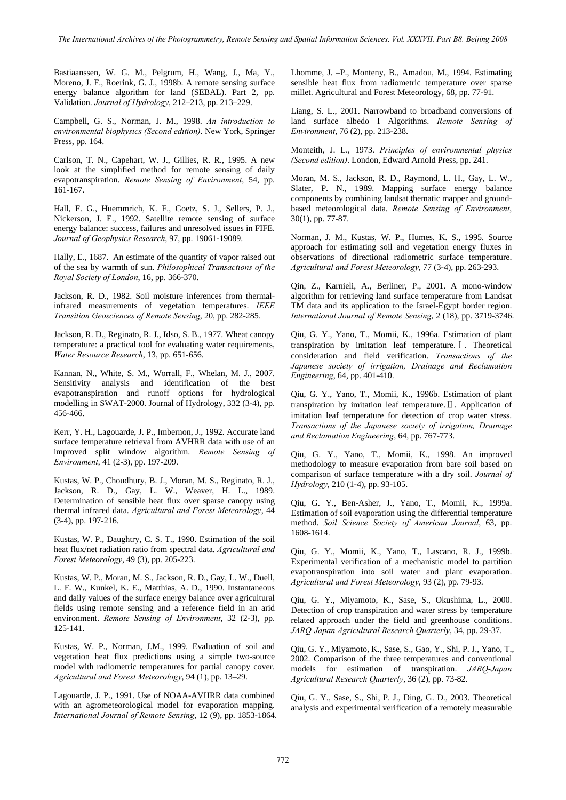Bastiaanssen, W. G. M., Pelgrum, H., Wang, J., Ma, Y., Moreno, J. F., Roerink, G. J., 1998b. A remote sensing surface energy balance algorithm for land (SEBAL). Part 2, pp. Validation. *Journal of Hydrology*, 212–213, pp. 213–229.

Campbell, G. S., Norman, J. M., 1998. *An introduction to environmental biophysics (Second edition)*. New York, Springer Press, pp. 164.

Carlson, T. N., Capehart, W. J., Gillies, R. R., 1995. A new look at the simplified method for remote sensing of daily evapotranspiration. *Remote Sensing of Environment*, 54, pp. 161-167.

Hall, F. G., Huemmrich, K. F., Goetz, S. J., Sellers, P. J., Nickerson, J. E., 1992. Satellite remote sensing of surface energy balance: success, failures and unresolved issues in FIFE. *Journal of Geophysics Research*, 97, pp. 19061-19089.

Hally, E., 1687. An estimate of the quantity of vapor raised out of the sea by warmth of sun. *Philosophical Transactions of the Royal Society of London*, 16, pp. 366-370.

Jackson, R. D., 1982. Soil moisture inferences from thermalinfrared measurements of vegetation temperatures. *IEEE Transition Geosciences of Remote Sensing*, 20, pp. 282-285.

Jackson, R. D., Reginato, R. J., Idso, S. B., 1977. Wheat canopy temperature: a practical tool for evaluating water requirements, *Water Resource Research*, 13, pp. 651-656.

Kannan, N., White, S. M., Worrall, F., Whelan, M. J., 2007. Sensitivity analysis and identification of the best evapotranspiration and runoff options for hydrological modelling in SWAT-2000. Journal of Hydrology, 332 (3-4), pp. 456-466.

Kerr, Y. H., Lagouarde, J. P., Imbernon, J., 1992. Accurate land surface temperature retrieval from AVHRR data with use of an improved split window algorithm. *Remote Sensing of Environment*, 41 (2-3), pp. 197-209.

Kustas, W. P., Choudhury, B. J., Moran, M. S., Reginato, R. J., Jackson, R. D., Gay, L. W., Weaver, H. L., 1989. Determination of sensible heat flux over sparse canopy using thermal infrared data. *Agricultural and Forest Meteorology*, 44 (3-4), pp. 197-216.

Kustas, W. P., Daughtry, C. S. T., 1990. Estimation of the soil heat flux/net radiation ratio from spectral data. *Agricultural and Forest Meteorology*, 49 (3), pp. 205-223.

Kustas, W. P., Moran, M. S., Jackson, R. D., Gay, L. W., Duell, L. F. W., Kunkel, K. E., Matthias, A. D., 1990. Instantaneous and daily values of the surface energy balance over agricultural fields using remote sensing and a reference field in an arid environment. *Remote Sensing of Environment*, 32 (2-3), pp. 125-141.

Kustas, W. P., Norman, J.M., 1999. Evaluation of soil and vegetation heat flux predictions using a simple two-source model with radiometric temperatures for partial canopy cover. *Agricultural and Forest Meteorology*, 94 (1), pp. 13–29.

Lagouarde, J. P., 1991. Use of NOAA-AVHRR data combined with an agrometeorological model for evaporation mapping. *International Journal of Remote Sensing*, 12 (9), pp. 1853-1864. Lhomme, J. –P., Monteny, B., Amadou, M., 1994. Estimating sensible heat flux from radiometric temperature over sparse millet. Agricultural and Forest Meteorology, 68, pp. 77-91.

Liang, S. L., 2001. Narrowband to broadband conversions of land surface albedo I Algorithms. *Remote Sensing of Environment*, 76 (2), pp. 213-238.

Monteith, J. L., 1973. *Principles of environmental physics (Second edition)*. London, Edward Arnold Press, pp. 241.

Moran, M. S., Jackson, R. D., Raymond, L. H., Gay, L. W., Slater, P. N., 1989. Mapping surface energy balance components by combining landsat thematic mapper and groundbased meteorological data. *Remote Sensing of Environment*, 30(1), pp. 77-87.

Norman, J. M., Kustas, W. P., Humes, K. S., 1995. Source approach for estimating soil and vegetation energy fluxes in observations of directional radiometric surface temperature. *[Agricultural and Forest Meteorology](http://www.sciencedirect.com/science/journal/01681923)*, 77 (3-4), pp. 263-293.

Qin, Z., Karnieli, A., Berliner, P., 2001. A mono-window algorithm for retrieving land surface temperature from Landsat TM data and its application to the Israel-Egypt border region. *International Journal of Remote Sensing*, 2 (18), pp. 3719-3746.

Qiu, G. Y., Yano, T., Momii, K., 1996a. Estimation of plant transpiration by imitation leaf temperature.Ⅰ. Theoretical consideration and field verification. *Transactions of the Japanese society of irrigation, Drainage and Reclamation Engineering*, 64, pp. 401-410.

Qiu, G. Y., Yano, T., Momii, K., 1996b. Estimation of plant transpiration by imitation leaf temperature.Ⅱ. Application of imitation leaf temperature for detection of crop water stress. *Transactions of the Japanese society of irrigation, Drainage and Reclamation Engineering*, 64, pp. 767-773.

Qiu, G. Y., Yano, T., Momii, K., 1998. An improved methodology to measure evaporation from bare soil based on comparison of surface temperature with a dry soil. *Journal of Hydrology*, 210 (1-4), pp. 93-105.

Qiu, G. Y., Ben-Asher, J., Yano, T., Momii, K., 1999a. Estimation of soil evaporation using the differential temperature method. *Soil Science Society of American Journal*, 63, pp. 1608-1614.

Qiu, G. Y., Momii, K., Yano, T., Lascano, R. J., 1999b. Experimental verification of a mechanistic model to partition evapotranspiration into soil water and plant evaporation. *Agricultural and Forest Meteorology*, 93 (2), pp. 79-93.

Qiu, G. Y., Miyamoto, K., Sase, S., Okushima, L., 2000. Detection of crop transpiration and water stress by temperature related approach under the field and greenhouse conditions. *JARQ-Japan Agricultural Research Quarterly*, 34, pp. 29-37.

Qiu, G. Y., Miyamoto, K., Sase, S., Gao, Y., Shi, P. J., Yano, T., 2002. Comparison of the three temperatures and conventional models for estimation of transpiration. *JARQ-Japan Agricultural Research Quarterly*, 36 (2), pp. 73-82.

Qiu, G. Y., Sase, S., Shi, P. J., Ding, G. D., 2003. Theoretical analysis and experimental verification of a remotely measurable